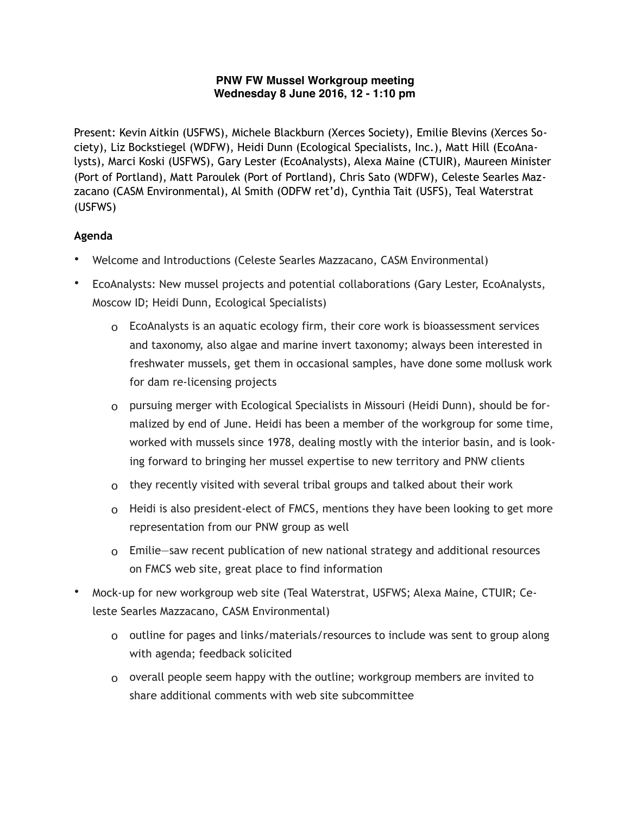## **PNW FW Mussel Workgroup meeting Wednesday 8 June 2016, 12 - 1:10 pm**

Present: Kevin Aitkin (USFWS), Michele Blackburn (Xerces Society), Emilie Blevins (Xerces Society), Liz Bockstiegel (WDFW), Heidi Dunn (Ecological Specialists, Inc.), Matt Hill (EcoAnalysts), Marci Koski (USFWS), Gary Lester (EcoAnalysts), Alexa Maine (CTUIR), Maureen Minister (Port of Portland), Matt Paroulek (Port of Portland), Chris Sato (WDFW), Celeste Searles Mazzacano (CASM Environmental), Al Smith (ODFW ret'd), Cynthia Tait (USFS), Teal Waterstrat (USFWS)

## **Agenda**

- Welcome and Introductions (Celeste Searles Mazzacano, CASM Environmental)
- EcoAnalysts: New mussel projects and potential collaborations (Gary Lester, EcoAnalysts, Moscow ID; Heidi Dunn, Ecological Specialists)
	- o EcoAnalysts is an aquatic ecology firm, their core work is bioassessment services and taxonomy, also algae and marine invert taxonomy; always been interested in freshwater mussels, get them in occasional samples, have done some mollusk work for dam re-licensing projects
	- o pursuing merger with Ecological Specialists in Missouri (Heidi Dunn), should be formalized by end of June. Heidi has been a member of the workgroup for some time, worked with mussels since 1978, dealing mostly with the interior basin, and is looking forward to bringing her mussel expertise to new territory and PNW clients
	- o they recently visited with several tribal groups and talked about their work
	- o Heidi is also president-elect of FMCS, mentions they have been looking to get more representation from our PNW group as well
	- o Emilie—saw recent publication of new national strategy and additional resources on FMCS web site, great place to find information
- Mock-up for new workgroup web site (Teal Waterstrat, USFWS; Alexa Maine, CTUIR; Celeste Searles Mazzacano, CASM Environmental)
	- o outline for pages and links/materials/resources to include was sent to group along with agenda; feedback solicited
	- o overall people seem happy with the outline; workgroup members are invited to share additional comments with web site subcommittee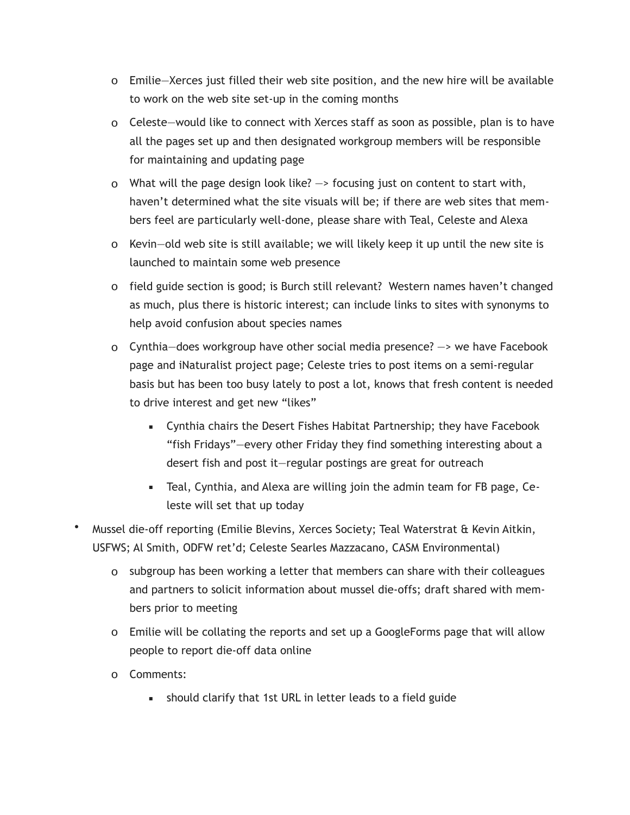- o Emilie—Xerces just filled their web site position, and the new hire will be available to work on the web site set-up in the coming months
- o Celeste—would like to connect with Xerces staff as soon as possible, plan is to have all the pages set up and then designated workgroup members will be responsible for maintaining and updating page
- o What will the page design look like?  $\rightarrow$  focusing just on content to start with, haven't determined what the site visuals will be; if there are web sites that members feel are particularly well-done, please share with Teal, Celeste and Alexa
- o Kevin—old web site is still available; we will likely keep it up until the new site is launched to maintain some web presence
- o field guide section is good; is Burch still relevant? Western names haven't changed as much, plus there is historic interest; can include links to sites with synonyms to help avoid confusion about species names
- o Cynthia—does workgroup have other social media presence? —> we have Facebook page and iNaturalist project page; Celeste tries to post items on a semi-regular basis but has been too busy lately to post a lot, knows that fresh content is needed to drive interest and get new "likes"
	- Cynthia chairs the Desert Fishes Habitat Partnership; they have Facebook "fish Fridays"—every other Friday they find something interesting about a desert fish and post it—regular postings are great for outreach
	- Teal, Cynthia, and Alexa are willing join the admin team for FB page, Celeste will set that up today
- Mussel die-off reporting (Emilie Blevins, Xerces Society; Teal Waterstrat & Kevin Aitkin, USFWS; Al Smith, ODFW ret'd; Celeste Searles Mazzacano, CASM Environmental)
	- o subgroup has been working a letter that members can share with their colleagues and partners to solicit information about mussel die-offs; draft shared with members prior to meeting
	- o Emilie will be collating the reports and set up a GoogleForms page that will allow people to report die-off data online
	- o Comments:
		- **EXED** should clarify that 1st URL in letter leads to a field guide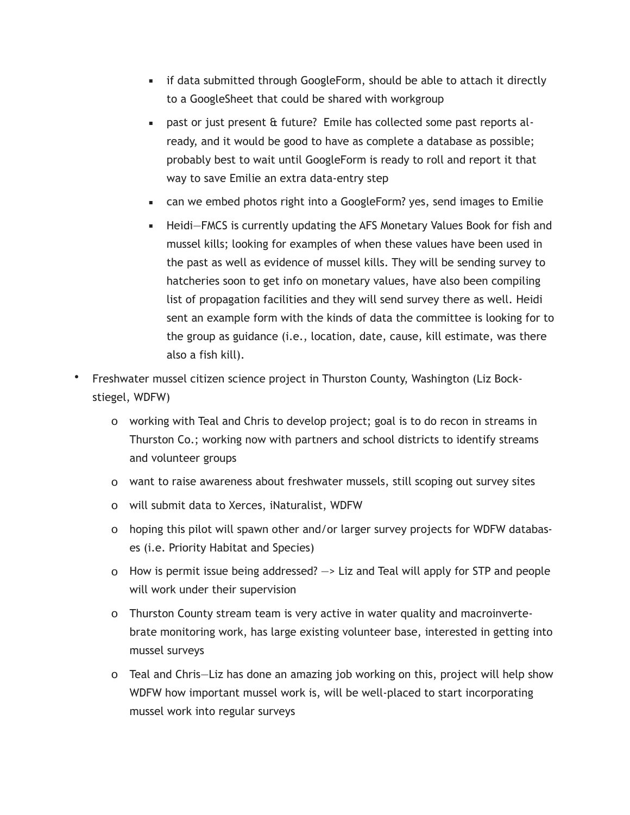- **.** if data submitted through GoogleForm, should be able to attach it directly to a GoogleSheet that could be shared with workgroup
- **•** past or just present & future? Emile has collected some past reports already, and it would be good to have as complete a database as possible; probably best to wait until GoogleForm is ready to roll and report it that way to save Emilie an extra data-entry step
- can we embed photos right into a GoogleForm? yes, send images to Emilie
- **EXECT** Heidi–FMCS is currently updating the AFS Monetary Values Book for fish and mussel kills; looking for examples of when these values have been used in the past as well as evidence of mussel kills. They will be sending survey to hatcheries soon to get info on monetary values, have also been compiling list of propagation facilities and they will send survey there as well. Heidi sent an example form with the kinds of data the committee is looking for to the group as guidance (i.e., location, date, cause, kill estimate, was there also a fish kill).
- Freshwater mussel citizen science project in Thurston County, Washington (Liz Bockstiegel, WDFW)
	- o working with Teal and Chris to develop project; goal is to do recon in streams in Thurston Co.; working now with partners and school districts to identify streams and volunteer groups
	- o want to raise awareness about freshwater mussels, still scoping out survey sites
	- o will submit data to Xerces, iNaturalist, WDFW
	- o hoping this pilot will spawn other and/or larger survey projects for WDFW databases (i.e. Priority Habitat and Species)
	- o How is permit issue being addressed? —> Liz and Teal will apply for STP and people will work under their supervision
	- o Thurston County stream team is very active in water quality and macroinvertebrate monitoring work, has large existing volunteer base, interested in getting into mussel surveys
	- o Teal and Chris—Liz has done an amazing job working on this, project will help show WDFW how important mussel work is, will be well-placed to start incorporating mussel work into regular surveys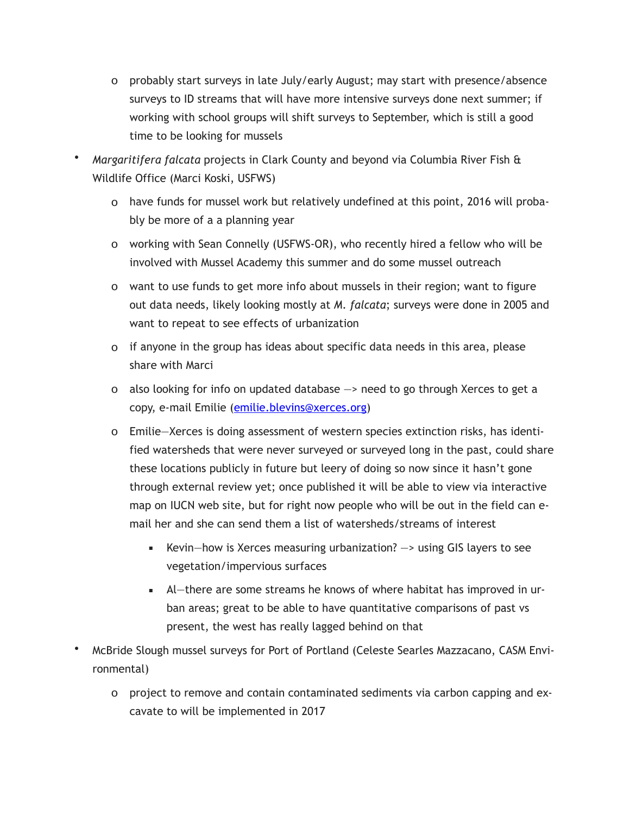- o probably start surveys in late July/early August; may start with presence/absence surveys to ID streams that will have more intensive surveys done next summer; if working with school groups will shift surveys to September, which is still a good time to be looking for mussels
- *Margaritifera falcata* projects in Clark County and beyond via Columbia River Fish & Wildlife Office (Marci Koski, USFWS)
	- o have funds for mussel work but relatively undefined at this point, 2016 will probably be more of a a planning year
	- o working with Sean Connelly (USFWS-OR), who recently hired a fellow who will be involved with Mussel Academy this summer and do some mussel outreach
	- o want to use funds to get more info about mussels in their region; want to figure out data needs, likely looking mostly at *M. falcata*; surveys were done in 2005 and want to repeat to see effects of urbanization
	- o if anyone in the group has ideas about specific data needs in this area, please share with Marci
	- o also looking for info on updated database —> need to go through Xerces to get a copy, e-mail Emilie [\(emilie.blevins@xerces.org](mailto:emilie.blevins@xerces.org))
	- o Emilie—Xerces is doing assessment of western species extinction risks, has identified watersheds that were never surveyed or surveyed long in the past, could share these locations publicly in future but leery of doing so now since it hasn't gone through external review yet; once published it will be able to view via interactive map on IUCN web site, but for right now people who will be out in the field can email her and she can send them a list of watersheds/streams of interest
		- **EXECT** Kevin—how is Xerces measuring urbanization?  $\rightarrow$  using GIS layers to see vegetation/impervious surfaces
		- Al—there are some streams he knows of where habitat has improved in urban areas; great to be able to have quantitative comparisons of past vs present, the west has really lagged behind on that
- McBride Slough mussel surveys for Port of Portland (Celeste Searles Mazzacano, CASM Environmental)
	- o project to remove and contain contaminated sediments via carbon capping and excavate to will be implemented in 2017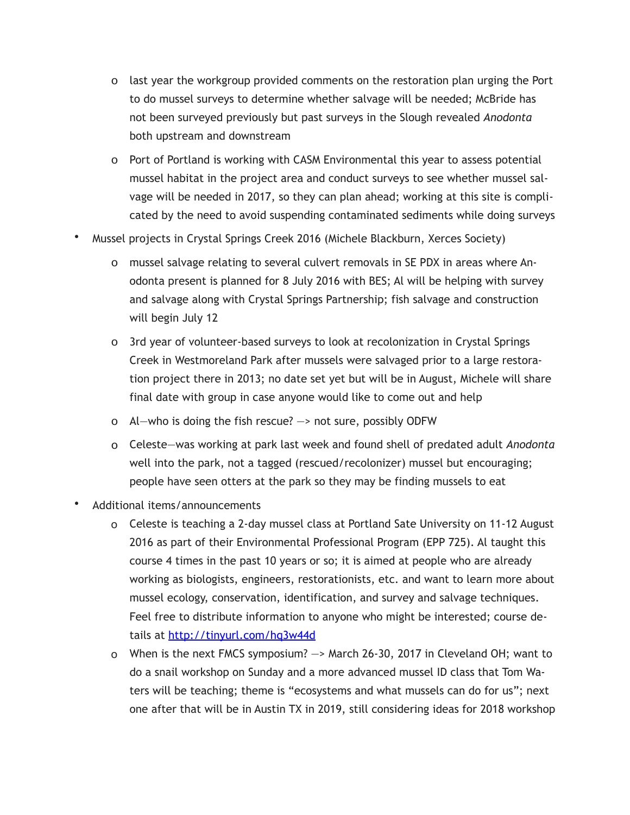- o last year the workgroup provided comments on the restoration plan urging the Port to do mussel surveys to determine whether salvage will be needed; McBride has not been surveyed previously but past surveys in the Slough revealed *Anodonta* both upstream and downstream
- o Port of Portland is working with CASM Environmental this year to assess potential mussel habitat in the project area and conduct surveys to see whether mussel salvage will be needed in 2017, so they can plan ahead; working at this site is complicated by the need to avoid suspending contaminated sediments while doing surveys
- Mussel projects in Crystal Springs Creek 2016 (Michele Blackburn, Xerces Society)
	- o mussel salvage relating to several culvert removals in SE PDX in areas where Anodonta present is planned for 8 July 2016 with BES; Al will be helping with survey and salvage along with Crystal Springs Partnership; fish salvage and construction will begin July 12
	- o 3rd year of volunteer-based surveys to look at recolonization in Crystal Springs Creek in Westmoreland Park after mussels were salvaged prior to a large restoration project there in 2013; no date set yet but will be in August, Michele will share final date with group in case anyone would like to come out and help
	- o Al—who is doing the fish rescue? —> not sure, possibly ODFW
	- o Celeste—was working at park last week and found shell of predated adult *Anodonta* well into the park, not a tagged (rescued/recolonizer) mussel but encouraging; people have seen otters at the park so they may be finding mussels to eat
- Additional items/announcements
	- o Celeste is teaching a 2-day mussel class at Portland Sate University on 11-12 August 2016 as part of their Environmental Professional Program (EPP 725). Al taught this course 4 times in the past 10 years or so; it is aimed at people who are already working as biologists, engineers, restorationists, etc. and want to learn more about mussel ecology, conservation, identification, and survey and salvage techniques. Feel free to distribute information to anyone who might be interested; course details at <http://tinyurl.com/hq3w44d>
	- o When is the next FMCS symposium? —> March 26-30, 2017 in Cleveland OH; want to do a snail workshop on Sunday and a more advanced mussel ID class that Tom Waters will be teaching; theme is "ecosystems and what mussels can do for us"; next one after that will be in Austin TX in 2019, still considering ideas for 2018 workshop